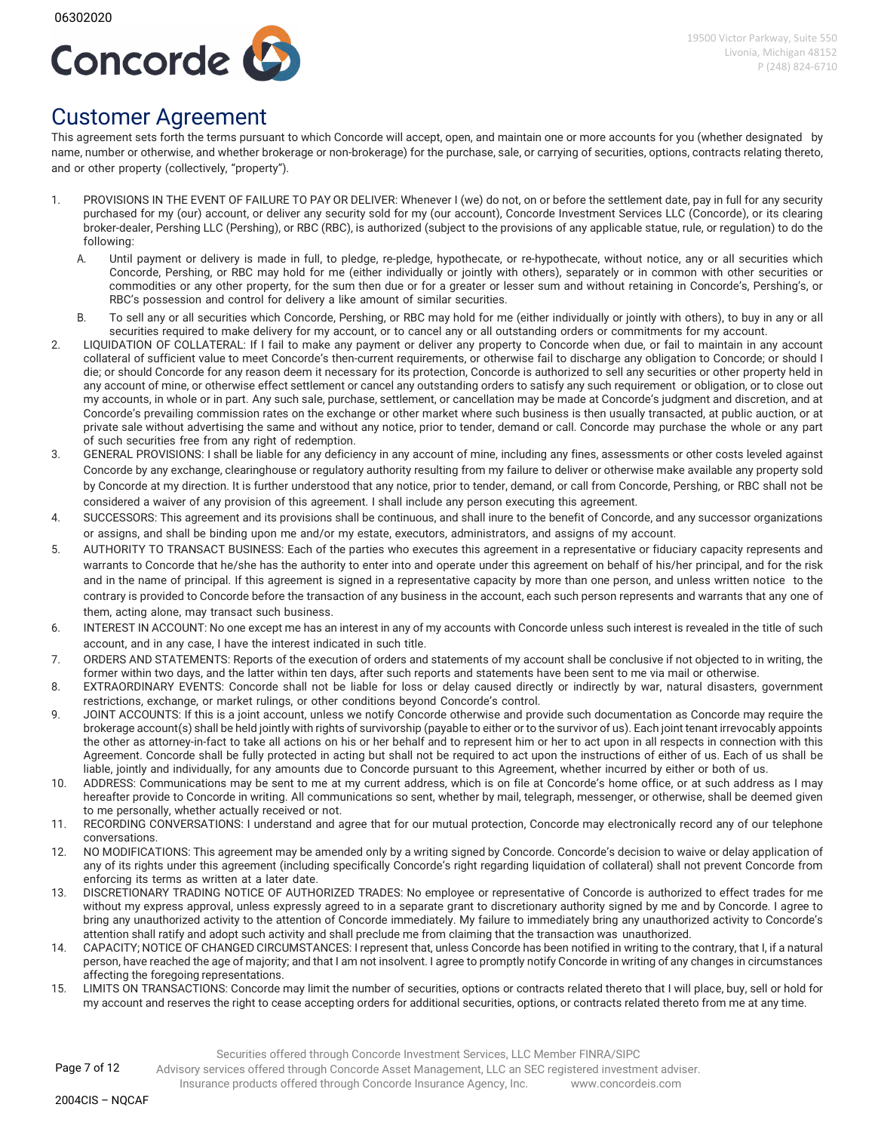

# Customer Agreement

This agreement sets forth the terms pursuant to which Concorde will accept, open, and maintain one or more accounts for you (whether designated by name, number or otherwise, and whether brokerage or non-brokerage) for the purchase, sale, or carrying of securities, options, contracts relating thereto, and or other property (collectively, "property").

- 1. PROVISIONS IN THE EVENT OF FAILURE TO PAY OR DELIVER: Whenever I (we) do not, on or before the settlement date, pay in full for any security purchased for my (our) account, or deliver any security sold for my (our account), Concorde Investment Services LLC (Concorde), or its clearing broker-dealer, Pershing LLC (Pershing), or RBC (RBC), is authorized (subject to the provisions of any applicable statue, rule, or regulation) to do the following:
	- A. Until payment or delivery is made in full, to pledge, re-pledge, hypothecate, or re-hypothecate, without notice, any or all securities which Concorde, Pershing, or RBC may hold for me (either individually or jointly with others), separately or in common with other securities or commodities or any other property, for the sum then due or for a greater or lesser sum and without retaining in Concorde's, Pershing's, or RBC's possession and control for delivery a like amount of similar securities.
	- B. To sell any or all securities which Concorde, Pershing, or RBC may hold for me (either individually or jointly with others), to buy in any or all securities required to make delivery for my account, or to cancel any or all outstanding orders or commitments for my account.
- 2. LIQUIDATION OF COLLATERAL: If I fail to make any payment or deliver any property to Concorde when due, or fail to maintain in any account collateral of sufficient value to meet Concorde's then-current requirements, or otherwise fail to discharge any obligation to Concorde; or should I die; or should Concorde for any reason deem it necessary for its protection, Concorde is authorized to sell any securities or other property held in any account of mine, or otherwise effect settlement or cancel any outstanding orders to satisfy any such requirement or obligation, or to close out my accounts, in whole or in part. Any such sale, purchase, settlement, or cancellation may be made at Concorde's judgment and discretion, and at Concorde's prevailing commission rates on the exchange or other market where such business is then usually transacted, at public auction, or at private sale without advertising the same and without any notice, prior to tender, demand or call. Concorde may purchase the whole or any part of such securities free from any right of redemption.
- 3. GENERAL PROVISIONS: I shall be liable for any deficiency in any account of mine, including any fines, assessments or other costs leveled against Concorde by any exchange, clearinghouse or regulatory authority resulting from my failure to deliver or otherwise make available any property sold by Concorde at my direction. It is further understood that any notice, prior to tender, demand, or call from Concorde, Pershing, or RBC shall not be considered a waiver of any provision of this agreement. I shall include any person executing this agreement.
- 4. SUCCESSORS: This agreement and its provisions shall be continuous, and shall inure to the benefit of Concorde, and any successor organizations or assigns, and shall be binding upon me and/or my estate, executors, administrators, and assigns of my account.
- 5. AUTHORITY TO TRANSACT BUSINESS: Each of the parties who executes this agreement in a representative or fiduciary capacity represents and warrants to Concorde that he/she has the authority to enter into and operate under this agreement on behalf of his/her principal, and for the risk and in the name of principal. If this agreement is signed in a representative capacity by more than one person, and unless written notice to the contrary is provided to Concorde before the transaction of any business in the account, each such person represents and warrants that any one of them, acting alone, may transact such business.
- 6. INTEREST IN ACCOUNT: No one except me has an interest in any of my accounts with Concorde unless such interest is revealed in the title of such account, and in any case, I have the interest indicated in such title.
- 7. ORDERS AND STATEMENTS: Reports of the execution of orders and statements of my account shall be conclusive if not objected to in writing, the former within two days, and the latter within ten days, after such reports and statements have been sent to me via mail or otherwise.
- 8. EXTRAORDINARY EVENTS: Concorde shall not be liable for loss or delay caused directly or indirectly by war, natural disasters, government restrictions, exchange, or market rulings, or other conditions beyond Concorde's control.
- 9. JOINT ACCOUNTS: If this is a joint account, unless we notify Concorde otherwise and provide such documentation as Concorde may require the brokerage account(s) shall be held jointly with rights of survivorship (payable to either or to the survivor of us). Each joint tenant irrevocably appoints the other as attorney-in-fact to take all actions on his or her behalf and to represent him or her to act upon in all respects in connection with this Agreement. Concorde shall be fully protected in acting but shall not be required to act upon the instructions of either of us. Each of us shall be liable, jointly and individually, for any amounts due to Concorde pursuant to this Agreement, whether incurred by either or both of us.
- 10. ADDRESS: Communications may be sent to me at my current address, which is on file at Concorde's home office, or at such address as I may hereafter provide to Concorde in writing. All communications so sent, whether by mail, telegraph, messenger, or otherwise, shall be deemed given to me personally, whether actually received or not.
- 11. RECORDING CONVERSATIONS: I understand and agree that for our mutual protection, Concorde may electronically record any of our telephone conversations.
- 12. NO MODIFICATIONS: This agreement may be amended only by a writing signed by Concorde. Concorde's decision to waive or delay application of any of its rights under this agreement (including specifically Concorde's right regarding liquidation of collateral) shall not prevent Concorde from enforcing its terms as written at a later date.
- 13. DISCRETIONARY TRADING NOTICE OF AUTHORIZED TRADES: No employee or representative of Concorde is authorized to effect trades for me without my express approval, unless expressly agreed to in a separate grant to discretionary authority signed by me and by Concorde. I agree to bring any unauthorized activity to the attention of Concorde immediately. My failure to immediately bring any unauthorized activity to Concorde's attention shall ratify and adopt such activity and shall preclude me from claiming that the transaction was unauthorized.
- 14. CAPACITY; NOTICE OF CHANGED CIRCUMSTANCES: I represent that, unless Concorde has been notified in writing to the contrary, that I, if a natural person, have reached the age of majority; and that I am not insolvent. I agree to promptly notify Concorde in writing of any changes in circumstances affecting the foregoing representations.
- 15. LIMITS ON TRANSACTIONS: Concorde may limit the number of securities, options or contracts related thereto that I will place, buy, sell or hold for my account and reserves the right to cease accepting orders for additional securities, options, or contracts related thereto from me at any time.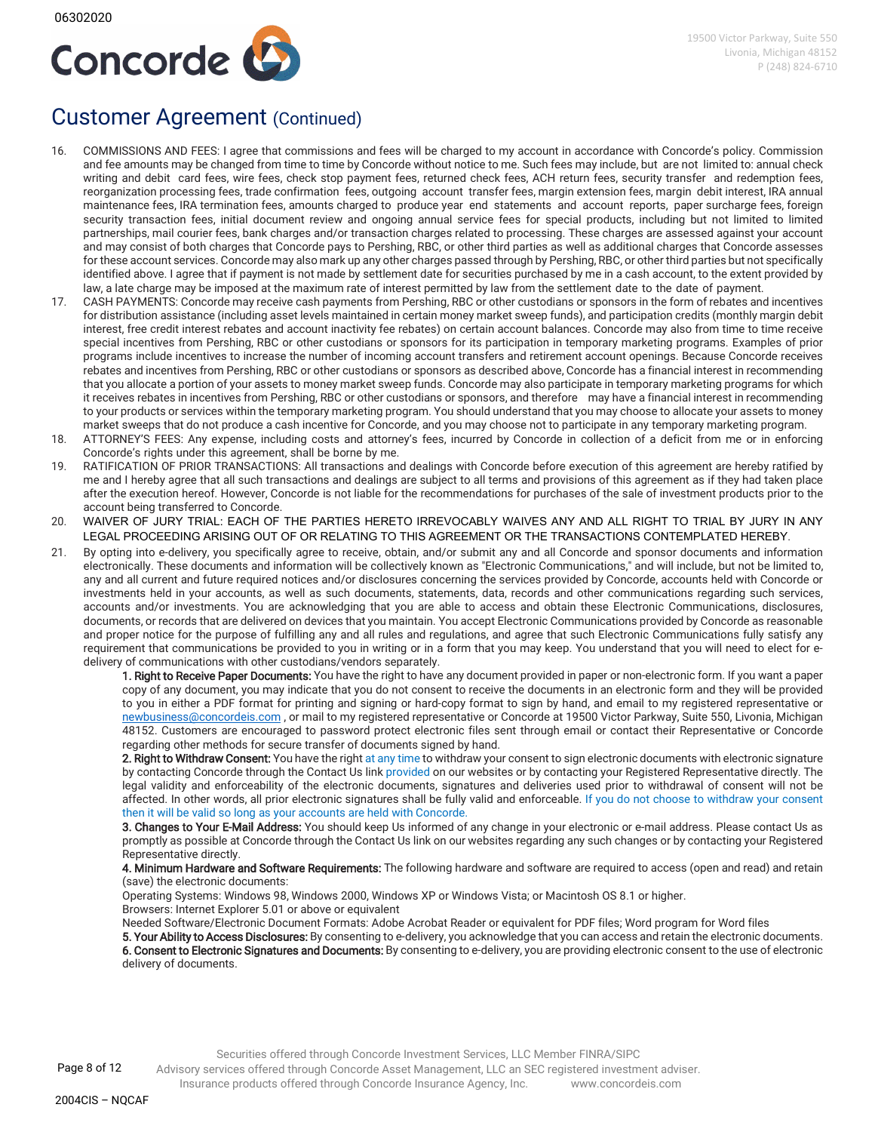

- 16. COMMISSIONS AND FEES: I agree that commissions and fees will be charged to my account in accordance with Concorde's policy. Commission and fee amounts may be changed from time to time by Concorde without notice to me. Such fees may include, but are not limited to: annual check writing and debit card fees, wire fees, check stop payment fees, returned check fees, ACH return fees, security transfer and redemption fees, reorganization processing fees, trade confirmation fees, outgoing account transfer fees, margin extension fees, margin debit interest, IRA annual maintenance fees, IRA termination fees, amounts charged to produce year end statements and account reports, paper surcharge fees, foreign security transaction fees, initial document review and ongoing annual service fees for special products, including but not limited to limited partnerships, mail courier fees, bank charges and/or transaction charges related to processing. These charges are assessed against your account and may consist of both charges that Concorde pays to Pershing, RBC, or other third parties as well as additional charges that Concorde assesses for these account services. Concorde may also mark up any other charges passed through by Pershing, RBC, or other third parties but not specifically identified above. I agree that if payment is not made by settlement date for securities purchased by me in a cash account, to the extent provided by law, a late charge may be imposed at the maximum rate of interest permitted by law from the settlement date to the date of payment.
- 17. CASH PAYMENTS: Concorde may receive cash payments from Pershing, RBC or other custodians or sponsors in the form of rebates and incentives for distribution assistance (including asset levels maintained in certain money market sweep funds), and participation credits (monthly margin debit interest, free credit interest rebates and account inactivity fee rebates) on certain account balances. Concorde may also from time to time receive special incentives from Pershing, RBC or other custodians or sponsors for its participation in temporary marketing programs. Examples of prior programs include incentives to increase the number of incoming account transfers and retirement account openings. Because Concorde receives rebates and incentives from Pershing, RBC or other custodians or sponsors as described above, Concorde has a financial interest in recommending that you allocate a portion of your assets to money market sweep funds. Concorde may also participate in temporary marketing programs for which it receives rebates in incentives from Pershing, RBC or other custodians or sponsors, and therefore may have a financial interest in recommending to your products or services within the temporary marketing program. You should understand that you may choose to allocate your assets to money market sweeps that do not produce a cash incentive for Concorde, and you may choose not to participate in any temporary marketing program.
- 18. ATTORNEY'S FEES: Any expense, including costs and attorney's fees, incurred by Concorde in collection of a deficit from me or in enforcing Concorde's rights under this agreement, shall be borne by me.
- 19. RATIFICATION OF PRIOR TRANSACTIONS: All transactions and dealings with Concorde before execution of this agreement are hereby ratified by me and I hereby agree that all such transactions and dealings are subject to all terms and provisions of this agreement as if they had taken place after the execution hereof. However, Concorde is not liable for the recommendations for purchases of the sale of investment products prior to the account being transferred to Concorde.
- 20. WAIVER OF JURY TRIAL: EACH OF THE PARTIES HERETO IRREVOCABLY WAIVES ANY AND ALL RIGHT TO TRIAL BY JURY IN ANY LEGAL PROCEEDING ARISING OUT OF OR RELATING TO THIS AGREEMENT OR THE TRANSACTIONS CONTEMPLATED HEREBY.
- 21. By opting into e-delivery, you specifically agree to receive, obtain, and/or submit any and all Concorde and sponsor documents and information electronically. These documents and information will be collectively known as "Electronic Communications," and will include, but not be limited to, any and all current and future required notices and/or disclosures concerning the services provided by Concorde, accounts held with Concorde or investments held in your accounts, as well as such documents, statements, data, records and other communications regarding such services, accounts and/or investments. You are acknowledging that you are able to access and obtain these Electronic Communications, disclosures, documents, or records that are delivered on devices that you maintain. You accept Electronic Communications provided by Concorde as reasonable and proper notice for the purpose of fulfilling any and all rules and regulations, and agree that such Electronic Communications fully satisfy any requirement that communications be provided to you in writing or in a form that you may keep. You understand that you will need to elect for edelivery of communications with other custodians/vendors separately.

1. Right to Receive Paper Documents: You have the right to have any document provided in paper or non-electronic form. If you want a paper copy of any document, you may indicate that you do not consent to receive the documents in an electronic form and they will be provided to you in either a PDF format for printing and signing or hard-copy format to sign by hand, and email to my registered representative or [newbusiness@concordeis.com](mailto:newbusiness@concordeis.com) , or mail to my registered representative or Concorde at 19500 Victor Parkway, Suite 550, Livonia, Michigan 48152. Customers are encouraged to password protect electronic files sent through email or contact their Representative or Concorde regarding other methods for secure transfer of documents signed by hand.

2. Right to Withdraw Consent: You have the right at any time to withdraw your consent to sign electronic documents with electronic signature by contacting Concorde through the Contact Us link provided on our websites or by contacting your Registered Representative directly. The legal validity and enforceability of the electronic documents, signatures and deliveries used prior to withdrawal of consent will not be affected. In other words, all prior electronic signatures shall be fully valid and enforceable. If you do not choose to withdraw your consent then it will be valid so long as your accounts are held with Concorde.

3. Changes to Your E-Mail Address: You should keep Us informed of any change in your electronic or e-mail address. Please contact Us as promptly as possible at Concorde through the Contact Us link on our websites regarding any such changes or by contacting your Registered Representative directly.

4. Minimum Hardware and Software Requirements: The following hardware and software are required to access (open and read) and retain (save) the electronic documents:

Operating Systems: Windows 98, Windows 2000, Windows XP or Windows Vista; or Macintosh OS 8.1 or higher. Browsers: Internet Explorer 5.01 or above or equivalent

Needed Software/Electronic Document Formats: Adobe Acrobat Reader or equivalent for PDF files; Word program for Word files

5. Your Ability to Access Disclosures: By consenting to e-delivery, you acknowledge that you can access and retain the electronic documents. 6. Consent to Electronic Signatures and Documents: By consenting to e-delivery, you are providing electronic consent to the use of electronic delivery of documents.

Advisory services offered through Concorde Asset Management, LLC an SEC registered investment adviser.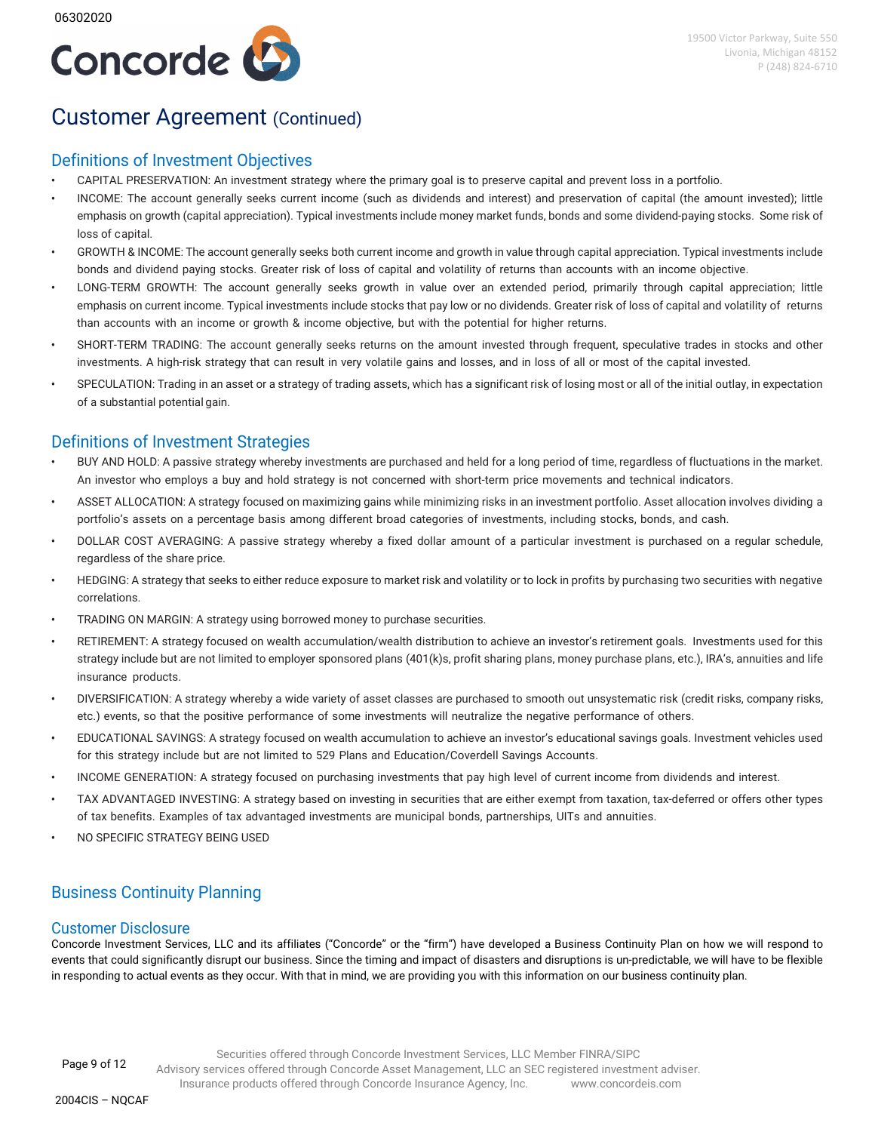

## Definitions of Investment Objectives

- CAPITAL PRESERVATION: An investment strategy where the primary goal is to preserve capital and prevent loss in a portfolio.
- INCOME: The account generally seeks current income (such as dividends and interest) and preservation of capital (the amount invested); little emphasis on growth (capital appreciation). Typical investments include money market funds, bonds and some dividend-paying stocks. Some risk of loss of capital.
- GROWTH & INCOME: The account generally seeks both current income and growth in value through capital appreciation. Typical investments include bonds and dividend paying stocks. Greater risk of loss of capital and volatility of returns than accounts with an income objective.
- LONG-TERM GROWTH: The account generally seeks growth in value over an extended period, primarily through capital appreciation; little emphasis on current income. Typical investments include stocks that pay low or no dividends. Greater risk of loss of capital and volatility of returns than accounts with an income or growth & income objective, but with the potential for higher returns.
- SHORT-TERM TRADING: The account generally seeks returns on the amount invested through frequent, speculative trades in stocks and other investments. A high-risk strategy that can result in very volatile gains and losses, and in loss of all or most of the capital invested.
- SPECULATION: Trading in an asset or a strategy of trading assets, which has a significant risk of losing most or all of the initial outlay, in expectation of a substantial potential gain.

## Definitions of Investment Strategies

- BUY AND HOLD: A passive strategy whereby investments are purchased and held for a long period of time, regardless of fluctuations in the market. An investor who employs a buy and hold strategy is not concerned with short-term price movements and technical indicators.
- ASSET ALLOCATION: A strategy focused on maximizing gains while minimizing risks in an investment portfolio. Asset allocation involves dividing a portfolio's assets on a percentage basis among different broad categories of investments, including stocks, bonds, and cash.
- DOLLAR COST AVERAGING: A passive strategy whereby a fixed dollar amount of a particular investment is purchased on a regular schedule, regardless of the share price.
- HEDGING: A strategy that seeks to either reduce exposure to market risk and volatility or to lock in profits by purchasing two securities with negative correlations.
- TRADING ON MARGIN: A strategy using borrowed money to purchase securities.
- RETIREMENT: A strategy focused on wealth accumulation/wealth distribution to achieve an investor's retirement goals. Investments used for this strategy include but are not limited to employer sponsored plans (401(k)s, profit sharing plans, money purchase plans, etc.), IRA's, annuities and life insurance products.
- DIVERSIFICATION: A strategy whereby a wide variety of asset classes are purchased to smooth out unsystematic risk (credit risks, company risks, etc.) events, so that the positive performance of some investments will neutralize the negative performance of others.
- EDUCATIONAL SAVINGS: A strategy focused on wealth accumulation to achieve an investor's educational savings goals. Investment vehicles used for this strategy include but are not limited to 529 Plans and Education/Coverdell Savings Accounts.
- INCOME GENERATION: A strategy focused on purchasing investments that pay high level of current income from dividends and interest.
- TAX ADVANTAGED INVESTING: A strategy based on investing in securities that are either exempt from taxation, tax-deferred or offers other types of tax benefits. Examples of tax advantaged investments are municipal bonds, partnerships, UITs and annuities.
- NO SPECIFIC STRATEGY BEING USED

## Business Continuity Planning

### Customer Disclosure

Concorde Investment Services, LLC and its affiliates ("Concorde" or the "firm") have developed a Business Continuity Plan on how we will respond to events that could significantly disrupt our business. Since the timing and impact of disasters and disruptions is un-predictable, we will have to be flexible in responding to actual events as they occur. With that in mind, we are providing you with this information on our business continuity plan.

Page 9 of 12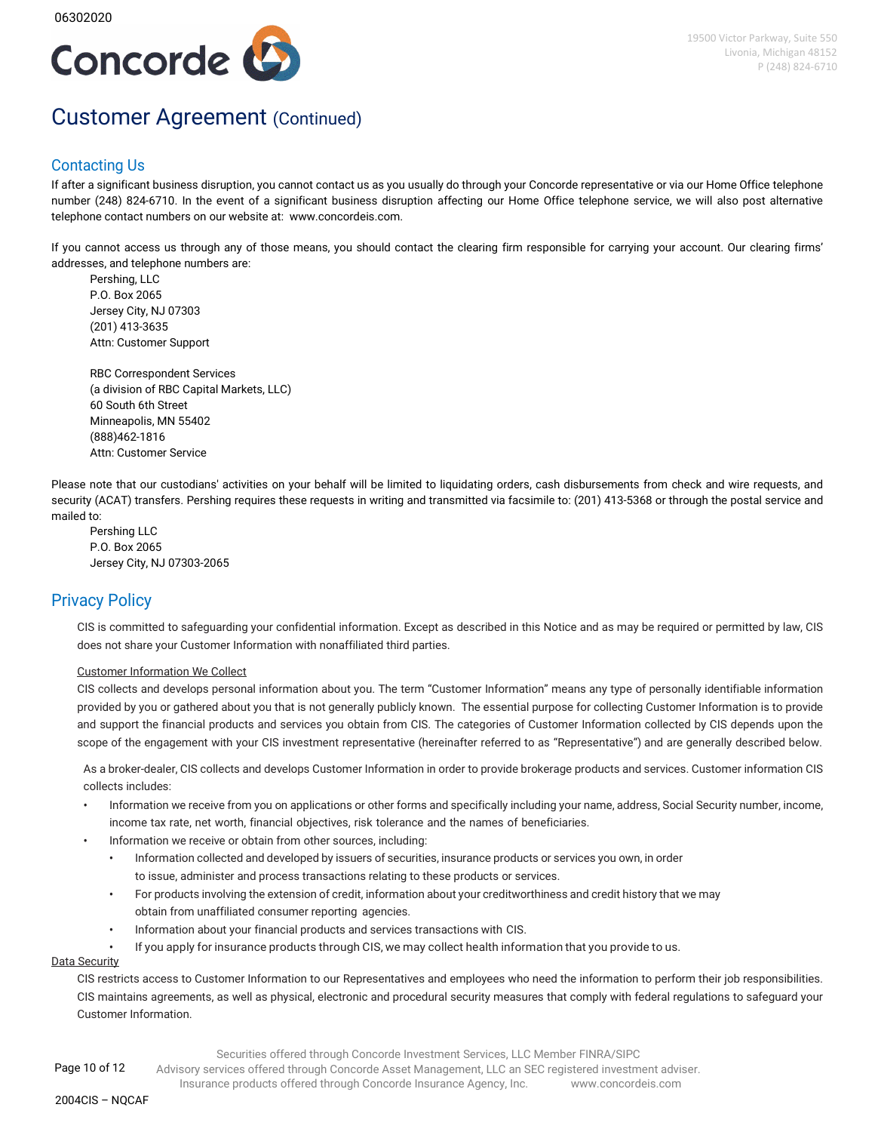

### Contacting Us

If after a significant business disruption, you cannot contact us as you usually do through your Concorde representative or via our Home Office telephone number (248) 824-6710. In the event of a significant business disruption affecting our Home Office telephone service, we will also post alternative telephone contact numbers on our website at: www.concordeis.com.

If you cannot access us through any of those means, you should contact the clearing firm responsible for carrying your account. Our clearing firms' addresses, and telephone numbers are:

Pershing, LLC P.O. Box 2065 Jersey City, NJ 07303 (201) 413-3635 Attn: Customer Support

RBC Correspondent Services (a division of RBC Capital Markets, LLC) 60 South 6th Street Minneapolis, MN 55402 (888)462-1816 Attn: Customer Service

Please note that our custodians' activities on your behalf will be limited to liquidating orders, cash disbursements from check and wire requests, and security (ACAT) transfers. Pershing requires these requests in writing and transmitted via facsimile to: (201) 413-5368 or through the postal service and mailed to:

Pershing LLC P.O. Box 2065 Jersey City, NJ 07303-2065

### Privacy Policy

CIS is committed to safeguarding your confidential information. Except as described in this Notice and as may be required or permitted by law, CIS does not share your Customer Information with nonaffiliated third parties.

### Customer Information We Collect

CIS collects and develops personal information about you. The term "Customer Information" means any type of personally identifiable information provided by you or gathered about you that is not generally publicly known. The essential purpose for collecting Customer Information is to provide and support the financial products and services you obtain from CIS. The categories of Customer Information collected by CIS depends upon the scope of the engagement with your CIS investment representative (hereinafter referred to as "Representative") and are generally described below.

As a broker-dealer, CIS collects and develops Customer Information in order to provide brokerage products and services. Customer information CIS collects includes:

- Information we receive from you on applications or other forms and specifically including your name, address, Social Security number, income, income tax rate, net worth, financial objectives, risk tolerance and the names of beneficiaries.
- Information we receive or obtain from other sources, including:
	- Information collected and developed by issuers of securities, insurance products or services you own, in order to issue, administer and process transactions relating to these products or services.
	- For products involving the extension of credit, information about your creditworthiness and credit history that we may obtain from unaffiliated consumer reporting agencies.
	- Information about your financial products and services transactions with CIS.

• If you apply for insurance products through CIS, we may collect health information that you provide to us.

### Data Security

CIS restricts access to Customer Information to our Representatives and employees who need the information to perform their job responsibilities. CIS maintains agreements, as well as physical, electronic and procedural security measures that comply with federal regulations to safeguard your Customer Information.

Advisory services offered through Concorde Asset Management, LLC an SEC registered investment adviser. Page 10 of 12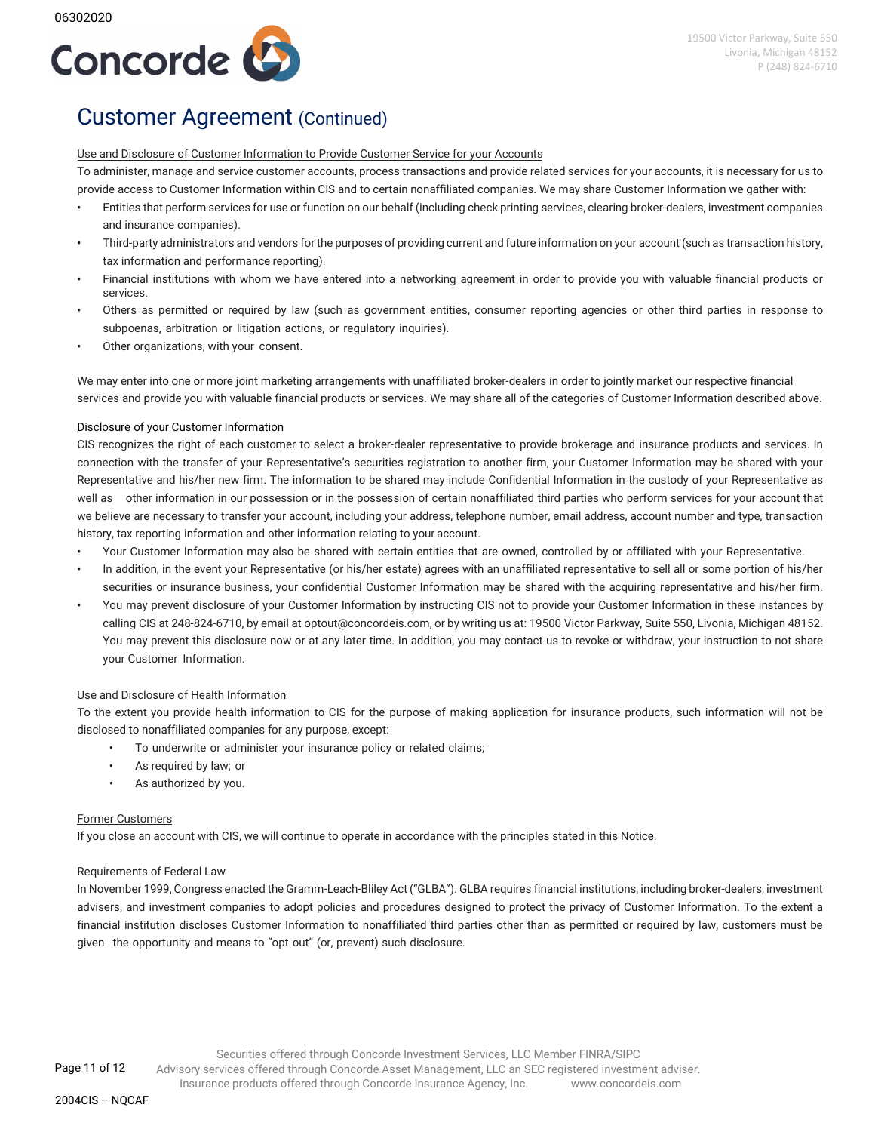

### Use and Disclosure of Customer Information to Provide Customer Service for your Accounts

To administer, manage and service customer accounts, process transactions and provide related services for your accounts, it is necessary for us to provide access to Customer Information within CIS and to certain nonaffiliated companies. We may share Customer Information we gather with:

- Entities that perform services for use or function on our behalf (including check printing services, clearing broker-dealers, investment companies and insurance companies).
- Third-party administrators and vendors for the purposes of providing current and future information on your account (such as transaction history, tax information and performance reporting).
- Financial institutions with whom we have entered into a networking agreement in order to provide you with valuable financial products or services.
- Others as permitted or required by law (such as government entities, consumer reporting agencies or other third parties in response to subpoenas, arbitration or litigation actions, or regulatory inquiries).
- Other organizations, with your consent.

We may enter into one or more joint marketing arrangements with unaffiliated broker-dealers in order to jointly market our respective financial services and provide you with valuable financial products or services. We may share all of the categories of Customer Information described above.

### Disclosure of your Customer Information

CIS recognizes the right of each customer to select a broker-dealer representative to provide brokerage and insurance products and services. In connection with the transfer of your Representative's securities registration to another firm, your Customer Information may be shared with your Representative and his/her new firm. The information to be shared may include Confidential Information in the custody of your Representative as well as other information in our possession or in the possession of certain nonaffiliated third parties who perform services for your account that we believe are necessary to transfer your account, including your address, telephone number, email address, account number and type, transaction history, tax reporting information and other information relating to your account.

- Your Customer Information may also be shared with certain entities that are owned, controlled by or affiliated with your Representative.
- In addition, in the event your Representative (or his/her estate) agrees with an unaffiliated representative to sell all or some portion of his/her securities or insurance business, your confidential Customer Information may be shared with the acquiring representative and his/her firm.
- You may prevent disclosure of your Customer Information by instructing CIS not to provide your Customer Information in these instances by calling CIS at 248-824-6710, by email a[t optout@concordeis.com, o](mailto:optout@concordeis.com)r by writing us at: 19500 Victor Parkway, Suite 550, Livonia, Michigan 48152. You may prevent this disclosure now or at any later time. In addition, you may contact us to revoke or withdraw, your instruction to not share your Customer Information.

### Use and Disclosure of Health Information

To the extent you provide health information to CIS for the purpose of making application for insurance products, such information will not be disclosed to nonaffiliated companies for any purpose, except:

- To underwrite or administer your insurance policy or related claims;
- As required by law; or
- As authorized by you.

### Former Customers

If you close an account with CIS, we will continue to operate in accordance with the principles stated in this Notice.

### Requirements of Federal Law

In November 1999, Congress enacted the Gramm-Leach-Bliley Act ("GLBA"). GLBA requires financial institutions, including broker-dealers, investment advisers, and investment companies to adopt policies and procedures designed to protect the privacy of Customer Information. To the extent a financial institution discloses Customer Information to nonaffiliated third parties other than as permitted or required by law, customers must be given the opportunity and means to "opt out" (or, prevent) such disclosure.

Advisory services offered through Concorde Asset Management, LLC an SEC registered investment adviser.